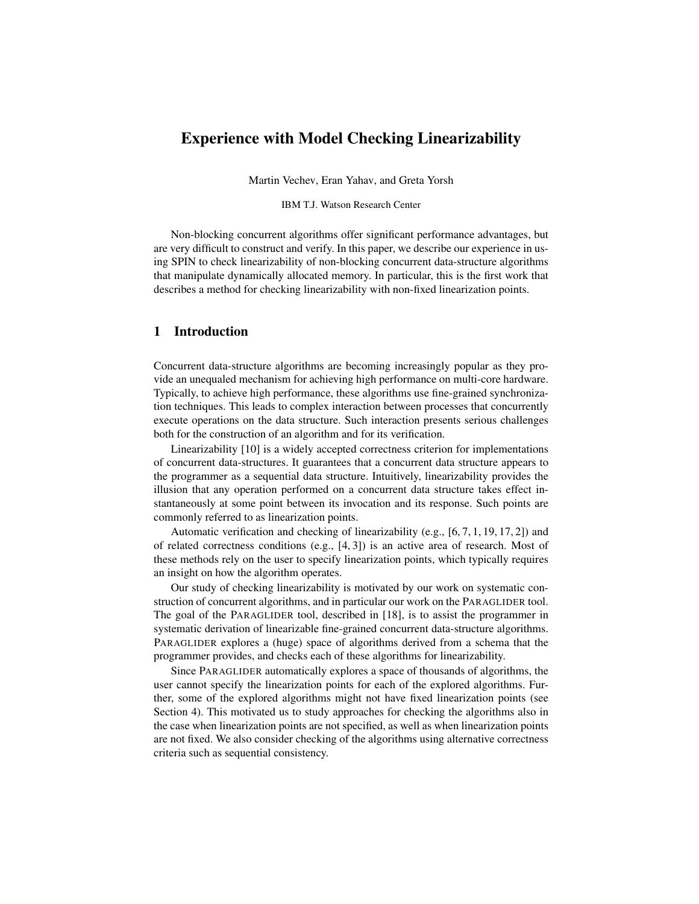# Experience with Model Checking Linearizability

Martin Vechev, Eran Yahav, and Greta Yorsh

IBM T.J. Watson Research Center

Non-blocking concurrent algorithms offer significant performance advantages, but are very difficult to construct and verify. In this paper, we describe our experience in using SPIN to check linearizability of non-blocking concurrent data-structure algorithms that manipulate dynamically allocated memory. In particular, this is the first work that describes a method for checking linearizability with non-fixed linearization points.

### 1 Introduction

Concurrent data-structure algorithms are becoming increasingly popular as they provide an unequaled mechanism for achieving high performance on multi-core hardware. Typically, to achieve high performance, these algorithms use fine-grained synchronization techniques. This leads to complex interaction between processes that concurrently execute operations on the data structure. Such interaction presents serious challenges both for the construction of an algorithm and for its verification.

Linearizability [10] is a widely accepted correctness criterion for implementations of concurrent data-structures. It guarantees that a concurrent data structure appears to the programmer as a sequential data structure. Intuitively, linearizability provides the illusion that any operation performed on a concurrent data structure takes effect instantaneously at some point between its invocation and its response. Such points are commonly referred to as linearization points.

Automatic verification and checking of linearizability (e.g., [6, 7, 1, 19, 17, 2]) and of related correctness conditions (e.g., [4, 3]) is an active area of research. Most of these methods rely on the user to specify linearization points, which typically requires an insight on how the algorithm operates.

Our study of checking linearizability is motivated by our work on systematic construction of concurrent algorithms, and in particular our work on the PARAGLIDER tool. The goal of the PARAGLIDER tool, described in [18], is to assist the programmer in systematic derivation of linearizable fine-grained concurrent data-structure algorithms. PARAGLIDER explores a (huge) space of algorithms derived from a schema that the programmer provides, and checks each of these algorithms for linearizability.

Since PARAGLIDER automatically explores a space of thousands of algorithms, the user cannot specify the linearization points for each of the explored algorithms. Further, some of the explored algorithms might not have fixed linearization points (see Section 4). This motivated us to study approaches for checking the algorithms also in the case when linearization points are not specified, as well as when linearization points are not fixed. We also consider checking of the algorithms using alternative correctness criteria such as sequential consistency.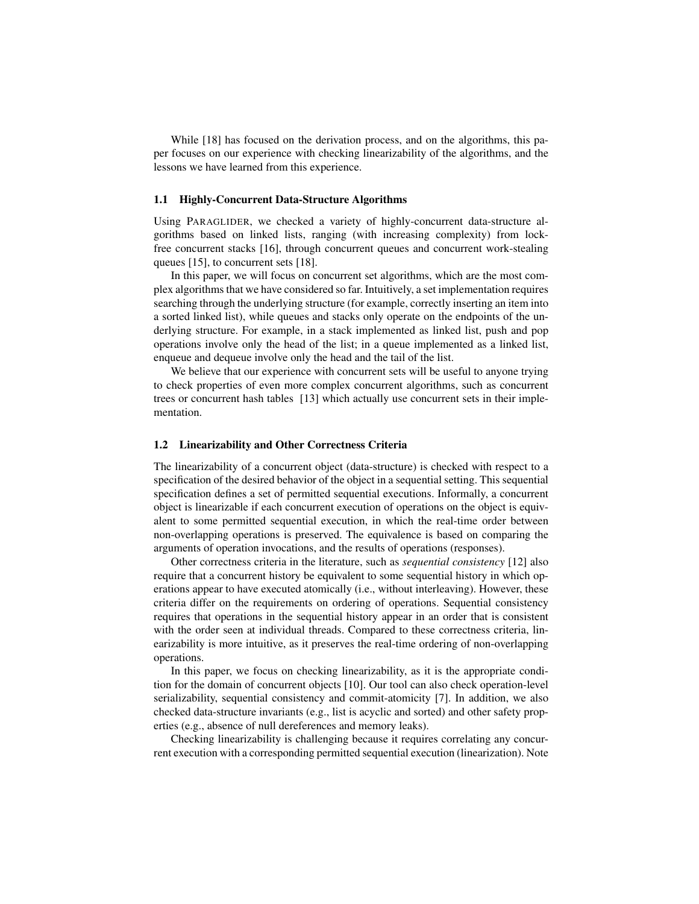While [18] has focused on the derivation process, and on the algorithms, this paper focuses on our experience with checking linearizability of the algorithms, and the lessons we have learned from this experience.

### 1.1 Highly-Concurrent Data-Structure Algorithms

Using PARAGLIDER, we checked a variety of highly-concurrent data-structure algorithms based on linked lists, ranging (with increasing complexity) from lockfree concurrent stacks [16], through concurrent queues and concurrent work-stealing queues [15], to concurrent sets [18].

In this paper, we will focus on concurrent set algorithms, which are the most complex algorithms that we have considered so far. Intuitively, a set implementation requires searching through the underlying structure (for example, correctly inserting an item into a sorted linked list), while queues and stacks only operate on the endpoints of the underlying structure. For example, in a stack implemented as linked list, push and pop operations involve only the head of the list; in a queue implemented as a linked list, enqueue and dequeue involve only the head and the tail of the list.

We believe that our experience with concurrent sets will be useful to anyone trying to check properties of even more complex concurrent algorithms, such as concurrent trees or concurrent hash tables [13] which actually use concurrent sets in their implementation.

### 1.2 Linearizability and Other Correctness Criteria

The linearizability of a concurrent object (data-structure) is checked with respect to a specification of the desired behavior of the object in a sequential setting. This sequential specification defines a set of permitted sequential executions. Informally, a concurrent object is linearizable if each concurrent execution of operations on the object is equivalent to some permitted sequential execution, in which the real-time order between non-overlapping operations is preserved. The equivalence is based on comparing the arguments of operation invocations, and the results of operations (responses).

Other correctness criteria in the literature, such as *sequential consistency* [12] also require that a concurrent history be equivalent to some sequential history in which operations appear to have executed atomically (i.e., without interleaving). However, these criteria differ on the requirements on ordering of operations. Sequential consistency requires that operations in the sequential history appear in an order that is consistent with the order seen at individual threads. Compared to these correctness criteria, linearizability is more intuitive, as it preserves the real-time ordering of non-overlapping operations.

In this paper, we focus on checking linearizability, as it is the appropriate condition for the domain of concurrent objects [10]. Our tool can also check operation-level serializability, sequential consistency and commit-atomicity [7]. In addition, we also checked data-structure invariants (e.g., list is acyclic and sorted) and other safety properties (e.g., absence of null dereferences and memory leaks).

Checking linearizability is challenging because it requires correlating any concurrent execution with a corresponding permitted sequential execution (linearization). Note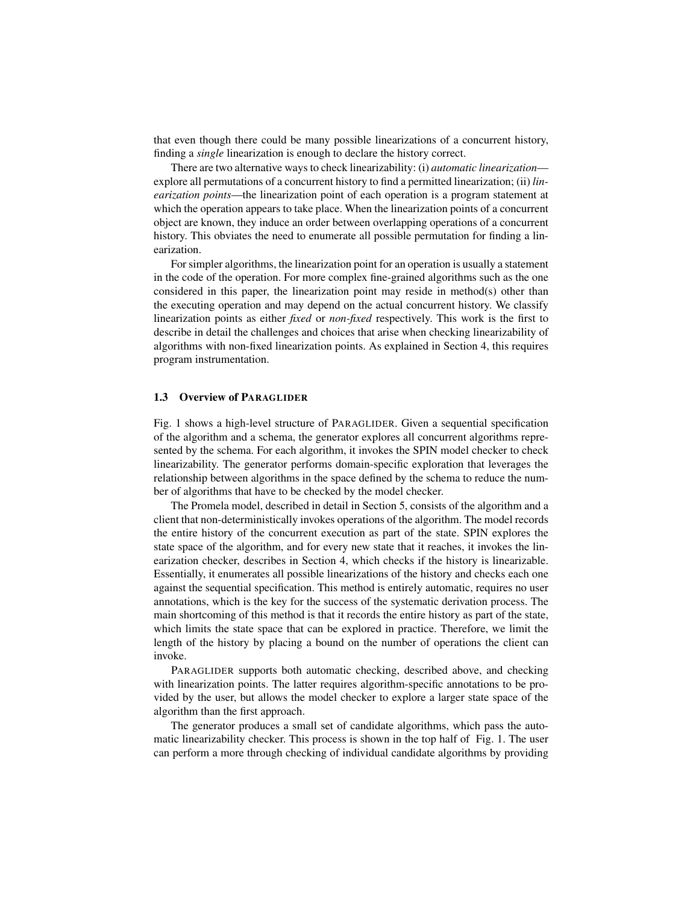that even though there could be many possible linearizations of a concurrent history, finding a *single* linearization is enough to declare the history correct.

There are two alternative ways to check linearizability: (i) *automatic linearization* explore all permutations of a concurrent history to find a permitted linearization; (ii) *linearization points*—the linearization point of each operation is a program statement at which the operation appears to take place. When the linearization points of a concurrent object are known, they induce an order between overlapping operations of a concurrent history. This obviates the need to enumerate all possible permutation for finding a linearization.

For simpler algorithms, the linearization point for an operation is usually a statement in the code of the operation. For more complex fine-grained algorithms such as the one considered in this paper, the linearization point may reside in method(s) other than the executing operation and may depend on the actual concurrent history. We classify linearization points as either *fixed* or *non-fixed* respectively. This work is the first to describe in detail the challenges and choices that arise when checking linearizability of algorithms with non-fixed linearization points. As explained in Section 4, this requires program instrumentation.

#### 1.3 Overview of PARAGLIDER

Fig. 1 shows a high-level structure of PARAGLIDER. Given a sequential specification of the algorithm and a schema, the generator explores all concurrent algorithms represented by the schema. For each algorithm, it invokes the SPIN model checker to check linearizability. The generator performs domain-specific exploration that leverages the relationship between algorithms in the space defined by the schema to reduce the number of algorithms that have to be checked by the model checker.

The Promela model, described in detail in Section 5, consists of the algorithm and a client that non-deterministically invokes operations of the algorithm. The model records the entire history of the concurrent execution as part of the state. SPIN explores the state space of the algorithm, and for every new state that it reaches, it invokes the linearization checker, describes in Section 4, which checks if the history is linearizable. Essentially, it enumerates all possible linearizations of the history and checks each one against the sequential specification. This method is entirely automatic, requires no user annotations, which is the key for the success of the systematic derivation process. The main shortcoming of this method is that it records the entire history as part of the state, which limits the state space that can be explored in practice. Therefore, we limit the length of the history by placing a bound on the number of operations the client can invoke.

PARAGLIDER supports both automatic checking, described above, and checking with linearization points. The latter requires algorithm-specific annotations to be provided by the user, but allows the model checker to explore a larger state space of the algorithm than the first approach.

The generator produces a small set of candidate algorithms, which pass the automatic linearizability checker. This process is shown in the top half of Fig. 1. The user can perform a more through checking of individual candidate algorithms by providing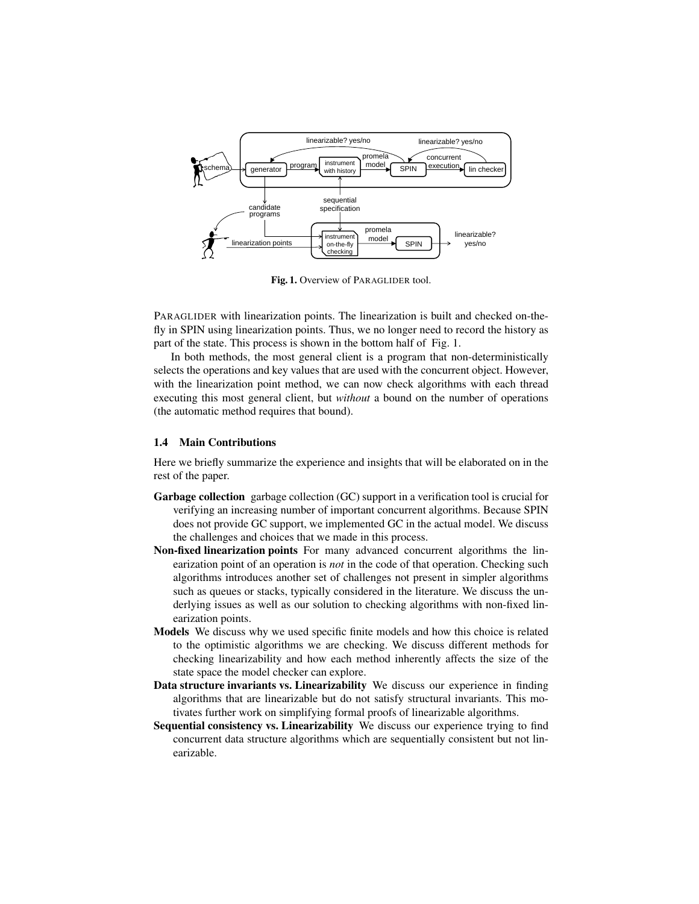

Fig. 1. Overview of PARAGLIDER tool.

PARAGLIDER with linearization points. The linearization is built and checked on-thefly in SPIN using linearization points. Thus, we no longer need to record the history as part of the state. This process is shown in the bottom half of Fig. 1.

In both methods, the most general client is a program that non-deterministically selects the operations and key values that are used with the concurrent object. However, with the linearization point method, we can now check algorithms with each thread executing this most general client, but *without* a bound on the number of operations (the automatic method requires that bound).

#### 1.4 Main Contributions

Here we briefly summarize the experience and insights that will be elaborated on in the rest of the paper.

- Garbage collection garbage collection (GC) support in a verification tool is crucial for verifying an increasing number of important concurrent algorithms. Because SPIN does not provide GC support, we implemented GC in the actual model. We discuss the challenges and choices that we made in this process.
- Non-fixed linearization points For many advanced concurrent algorithms the linearization point of an operation is *not* in the code of that operation. Checking such algorithms introduces another set of challenges not present in simpler algorithms such as queues or stacks, typically considered in the literature. We discuss the underlying issues as well as our solution to checking algorithms with non-fixed linearization points.
- Models We discuss why we used specific finite models and how this choice is related to the optimistic algorithms we are checking. We discuss different methods for checking linearizability and how each method inherently affects the size of the state space the model checker can explore.
- Data structure invariants vs. Linearizability We discuss our experience in finding algorithms that are linearizable but do not satisfy structural invariants. This motivates further work on simplifying formal proofs of linearizable algorithms.
- Sequential consistency vs. Linearizability We discuss our experience trying to find concurrent data structure algorithms which are sequentially consistent but not linearizable.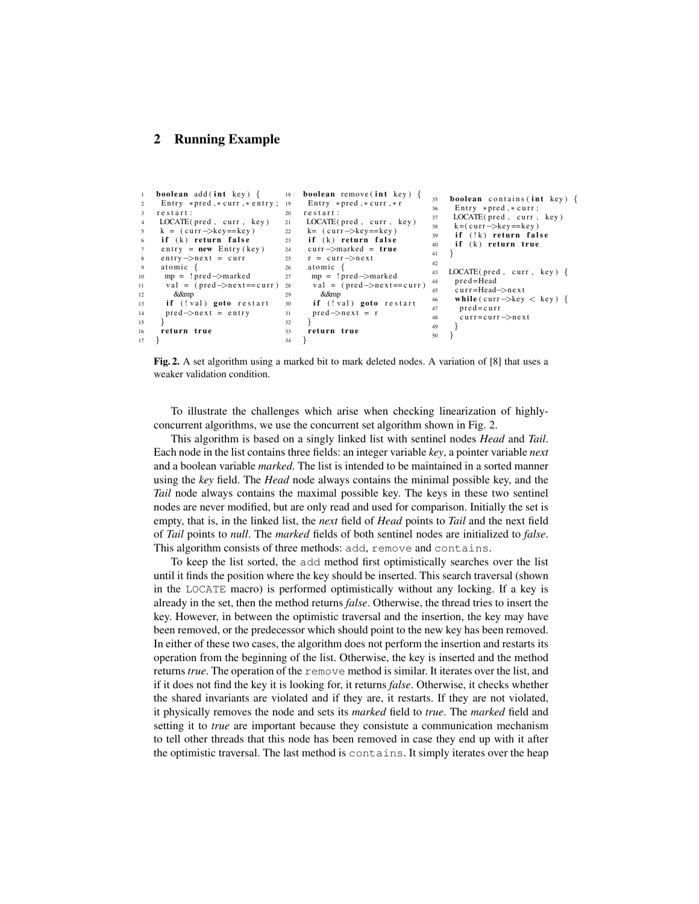### 2 Running Example

```
1 boolean add (int key) {
2 Entry *pred,*curr,*entry; 19
3 restart:
4 LOCATE(pred, curr, key)
     k = (curr \rightarrow key == key)6 if (k) return false
     entry = new Entry (key)\text{snatrix} \rightarrow \text{next} = \text{curr}9 atomic {
10 mp = ! pred−>marked
11 val = (pred \Rightarrow next == curr)
12 &&mp
13 if (! val) goto restart
14 pred\Rightarrown e x t = en try
15 }
16 return true
17 }
                                   18 boolean remove (int key) {
                                        Entry ∗pred,*curr,*r
                                   20 restart :
                                   21 LOCATE(pred, curr, key)
                                   22 k= (curr ->key ==key)
                                   23 if (k) return false
                                   24 curr ->marked = true
                                   25 \quad r = \text{curr} \rightarrow \text{next}26 atomic {
                                   27 mp = ! pred−>marked
                                  \text{val} = (\text{pred} \rightarrow \text{next} == \text{curr})29 &&mp
                                   30 if (! val) goto restart
                                   31 pred\Rightarrownext = r
                                   32 }
                                   33 return true
                                   34 }
                                                                      35 boolean contains (int key) \{36 Entry *pred,*curr;
                                                                      37 LOCATE(pred, curr, key)
                                                                      38 k = (curr ->key = = key)
                                                                      39 if (!k) return false
                                                                      40 if (k) return true
                                                                      41 }
                                                                      42
                                                                      43 LOCATE(pred, curr, key) {
                                                                      44 pred=Head
                                                                      45 c u r r =Head−>n e x t
                                                                      46 while ( curr ->key < key ) {
                                                                      47 pred = curr
                                                                      48 c u r r = c u r r−>n e x t
                                                                      49 }
                                                                      50 }
```
Fig. 2. A set algorithm using a marked bit to mark deleted nodes. A variation of [8] that uses a weaker validation condition.

To illustrate the challenges which arise when checking linearization of highlyconcurrent algorithms, we use the concurrent set algorithm shown in Fig. 2.

This algorithm is based on a singly linked list with sentinel nodes *Head* and *Tail*. Each node in the list contains three fields: an integer variable *key*, a pointer variable *next* and a boolean variable *marked*. The list is intended to be maintained in a sorted manner using the *key* field. The *Head* node always contains the minimal possible key, and the *Tail* node always contains the maximal possible key. The keys in these two sentinel nodes are never modified, but are only read and used for comparison. Initially the set is empty, that is, in the linked list, the *next* field of *Head* points to *Tail* and the next field of *Tail* points to *null*. The *marked* fields of both sentinel nodes are initialized to *false*. This algorithm consists of three methods: add, remove and contains.

To keep the list sorted, the add method first optimistically searches over the list until it finds the position where the key should be inserted. This search traversal (shown in the LOCATE macro) is performed optimistically without any locking. If a key is already in the set, then the method returns *false*. Otherwise, the thread tries to insert the key. However, in between the optimistic traversal and the insertion, the key may have been removed, or the predecessor which should point to the new key has been removed. In either of these two cases, the algorithm does not perform the insertion and restarts its operation from the beginning of the list. Otherwise, the key is inserted and the method returns *true*. The operation of the remove method is similar. It iterates over the list, and if it does not find the key it is looking for, it returns *false*. Otherwise, it checks whether the shared invariants are violated and if they are, it restarts. If they are not violated, it physically removes the node and sets its *marked* field to *true*. The *marked* field and setting it to *true* are important because they consistute a communication mechanism to tell other threads that this node has been removed in case they end up with it after the optimistic traversal. The last method is contains. It simply iterates over the heap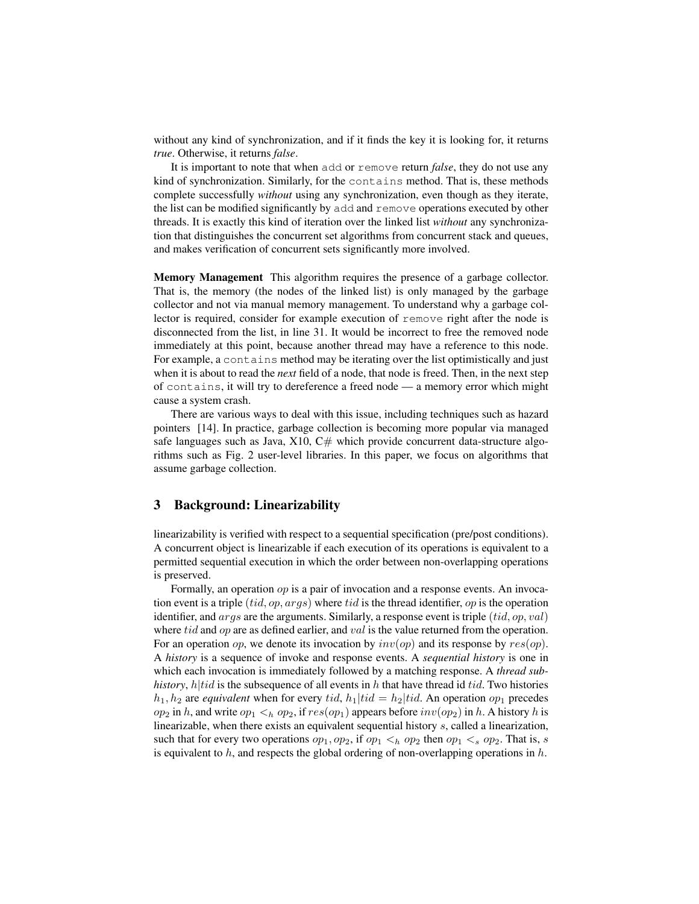without any kind of synchronization, and if it finds the key it is looking for, it returns *true*. Otherwise, it returns *false*.

It is important to note that when add or remove return *false*, they do not use any kind of synchronization. Similarly, for the contains method. That is, these methods complete successfully *without* using any synchronization, even though as they iterate, the list can be modified significantly by add and remove operations executed by other threads. It is exactly this kind of iteration over the linked list *without* any synchronization that distinguishes the concurrent set algorithms from concurrent stack and queues, and makes verification of concurrent sets significantly more involved.

Memory Management This algorithm requires the presence of a garbage collector. That is, the memory (the nodes of the linked list) is only managed by the garbage collector and not via manual memory management. To understand why a garbage collector is required, consider for example execution of remove right after the node is disconnected from the list, in line 31. It would be incorrect to free the removed node immediately at this point, because another thread may have a reference to this node. For example, a contains method may be iterating over the list optimistically and just when it is about to read the *next* field of a node, that node is freed. Then, in the next step of contains, it will try to dereference a freed node — a memory error which might cause a system crash.

There are various ways to deal with this issue, including techniques such as hazard pointers [14]. In practice, garbage collection is becoming more popular via managed safe languages such as Java,  $X10$ ,  $C\#$  which provide concurrent data-structure algorithms such as Fig. 2 user-level libraries. In this paper, we focus on algorithms that assume garbage collection.

### 3 Background: Linearizability

linearizability is verified with respect to a sequential specification (pre/post conditions). A concurrent object is linearizable if each execution of its operations is equivalent to a permitted sequential execution in which the order between non-overlapping operations is preserved.

Formally, an operation *op* is a pair of invocation and a response events. An invocation event is a triple  $(tid, op, args)$  where  $tid$  is the thread identifier, op is the operation identifier, and  $args$  are the arguments. Similarly, a response event is triple  $(tid, op, val)$ where tid and op are as defined earlier, and val is the value returned from the operation. For an operation op, we denote its invocation by  $inv(op)$  and its response by  $res(op)$ . A *history* is a sequence of invoke and response events. A *sequential history* is one in which each invocation is immediately followed by a matching response. A *thread subhistory*,  $h|tid$  is the subsequence of all events in  $h$  that have thread id  $tid$ . Two histories  $h_1, h_2$  are *equivalent* when for every tid,  $h_1|tid = h_2|tid$ . An operation  $op_1$  precedes  $op_2$  in h, and write  $op_1 <_h op_2$ , if  $res(op_1)$  appears before  $inv(op_2)$  in h. A history h is linearizable, when there exists an equivalent sequential history s, called a linearization, such that for every two operations  $op_1, op_2$ , if  $op_1 <sub>h</sub> op_2$  then  $op_1 <sub>s</sub> op_2$ . That is, s is equivalent to  $h$ , and respects the global ordering of non-overlapping operations in  $h$ .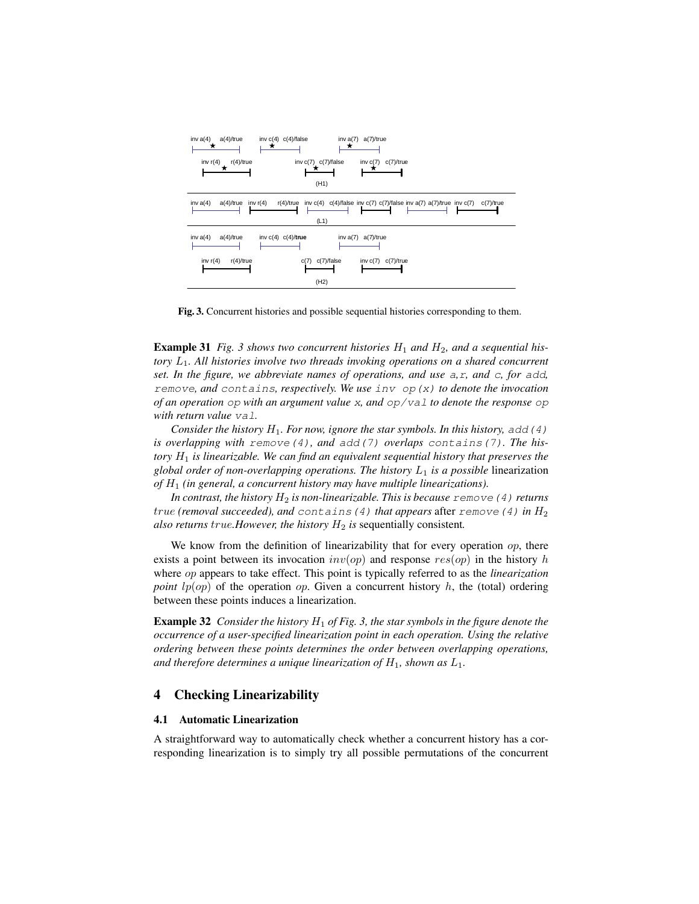

Fig. 3. Concurrent histories and possible sequential histories corresponding to them.

**Example 31** Fig. 3 shows two concurrent histories  $H_1$  and  $H_2$ , and a sequential his*tory* L1*. All histories involve two threads invoking operations on a shared concurrent set. In the figure, we abbreviate names of operations, and use* a*,*r*, and* c*, for* add*,* remove*, and* contains*, respectively. We use* inv op(x) *to denote the invocation of an operation* op *with an argument value* x*, and* op/val *to denote the response* op *with return value* val*.*

*Consider the history*  $H_1$ *. For now, ignore the star symbols. In this history,* add (4) *is overlapping with* remove(4)*, and* add(7) *overlaps* contains(7)*. The history*  $H_1$  *is linearizable. We can find an equivalent sequential history that preserves the global order of non-overlapping operations. The history*  $L_1$  *is a possible linearization of* H<sup>1</sup> *(in general, a concurrent history may have multiple linearizations).*

*In contrast, the history*  $H_2$  *is non-linearizable. This is because* remove (4) *returns*  $true$  (removal succeeded), and contains (4) that appears after remove (4) in  $H_2$ *also returns true. However, the history*  $H_2$  *is* sequentially consistent.

We know from the definition of linearizability that for every operation  $op$ , there exists a point between its invocation  $inv(op)$  and response  $res(op)$  in the history h where op appears to take effect. This point is typically referred to as the *linearization point*  $lp(op)$  of the operation *op*. Given a concurrent history h, the (total) ordering between these points induces a linearization.

**Example 32** *Consider the history*  $H_1$  *of Fig. 3, the star symbols in the figure denote the occurrence of a user-specified linearization point in each operation. Using the relative ordering between these points determines the order between overlapping operations,* and therefore determines a unique linearization of  $H_1$ , shown as  $L_1$ .

### 4 Checking Linearizability

#### 4.1 Automatic Linearization

A straightforward way to automatically check whether a concurrent history has a corresponding linearization is to simply try all possible permutations of the concurrent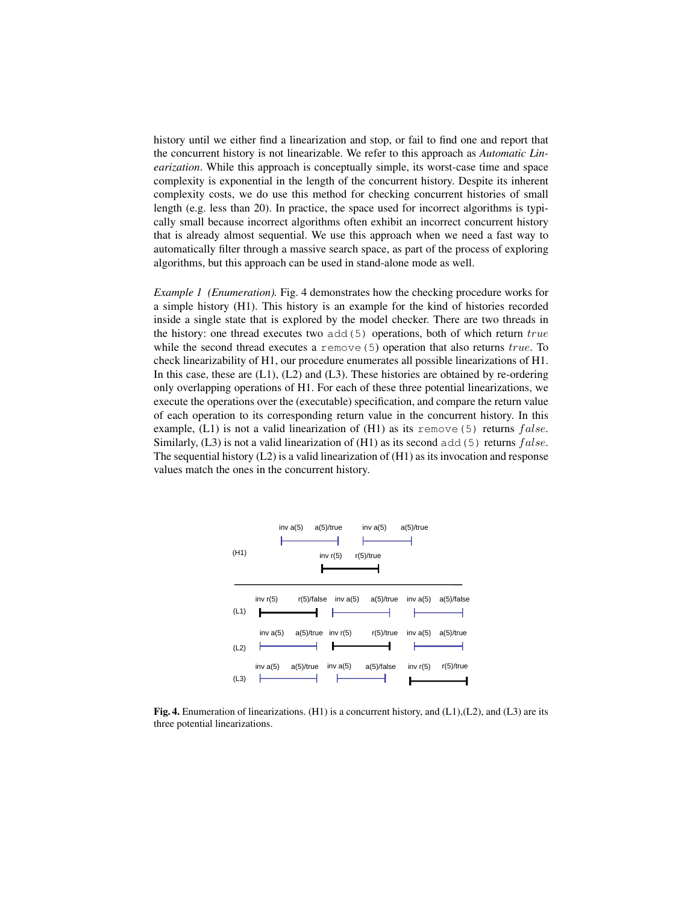history until we either find a linearization and stop, or fail to find one and report that the concurrent history is not linearizable. We refer to this approach as *Automatic Linearization*. While this approach is conceptually simple, its worst-case time and space complexity is exponential in the length of the concurrent history. Despite its inherent complexity costs, we do use this method for checking concurrent histories of small length (e.g. less than 20). In practice, the space used for incorrect algorithms is typically small because incorrect algorithms often exhibit an incorrect concurrent history that is already almost sequential. We use this approach when we need a fast way to automatically filter through a massive search space, as part of the process of exploring algorithms, but this approach can be used in stand-alone mode as well.

*Example 1 (Enumeration).* Fig. 4 demonstrates how the checking procedure works for a simple history (H1). This history is an example for the kind of histories recorded inside a single state that is explored by the model checker. There are two threads in the history: one thread executes two  $add(5)$  operations, both of which return  $true$ while the second thread executes a remove  $(5)$  operation that also returns true. To check linearizability of H1, our procedure enumerates all possible linearizations of H1. In this case, these are  $(L1)$ ,  $(L2)$  and  $(L3)$ . These histories are obtained by re-ordering only overlapping operations of H1. For each of these three potential linearizations, we execute the operations over the (executable) specification, and compare the return value of each operation to its corresponding return value in the concurrent history. In this example,  $(L1)$  is not a valid linearization of  $(H1)$  as its remove (5) returns  $false$ . Similarly, (L3) is not a valid linearization of  $(H1)$  as its second add (5) returns  $false$ . The sequential history (L2) is a valid linearization of (H1) as its invocation and response values match the ones in the concurrent history.



Fig. 4. Enumeration of linearizations. (H1) is a concurrent history, and (L1),(L2), and (L3) are its three potential linearizations.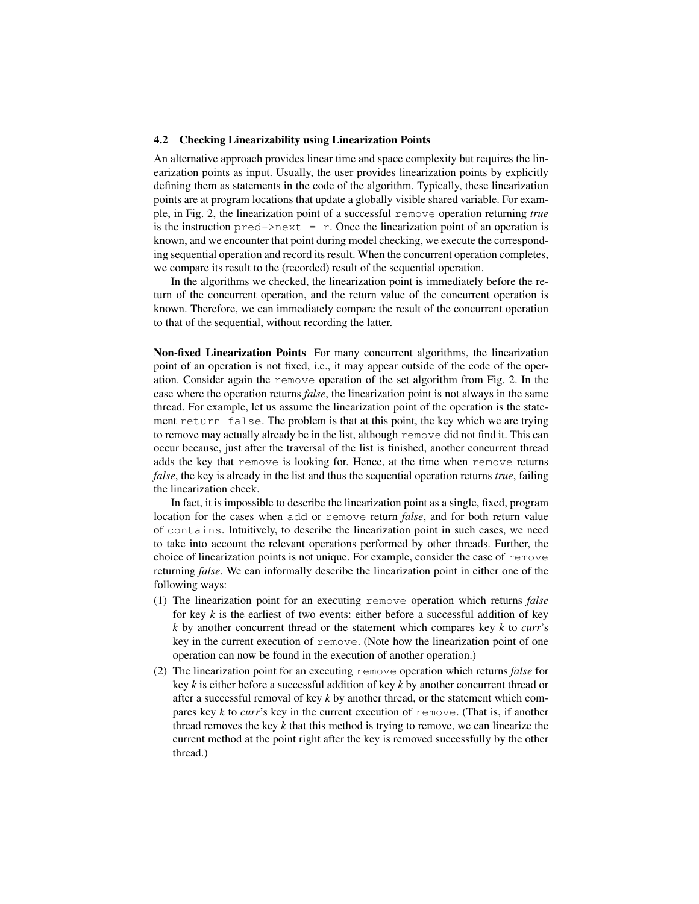### 4.2 Checking Linearizability using Linearization Points

An alternative approach provides linear time and space complexity but requires the linearization points as input. Usually, the user provides linearization points by explicitly defining them as statements in the code of the algorithm. Typically, these linearization points are at program locations that update a globally visible shared variable. For example, in Fig. 2, the linearization point of a successful remove operation returning *true* is the instruction pred->next =  $r$ . Once the linearization point of an operation is known, and we encounter that point during model checking, we execute the corresponding sequential operation and record its result. When the concurrent operation completes, we compare its result to the (recorded) result of the sequential operation.

In the algorithms we checked, the linearization point is immediately before the return of the concurrent operation, and the return value of the concurrent operation is known. Therefore, we can immediately compare the result of the concurrent operation to that of the sequential, without recording the latter.

Non-fixed Linearization Points For many concurrent algorithms, the linearization point of an operation is not fixed, i.e., it may appear outside of the code of the operation. Consider again the remove operation of the set algorithm from Fig. 2. In the case where the operation returns *false*, the linearization point is not always in the same thread. For example, let us assume the linearization point of the operation is the statement return false. The problem is that at this point, the key which we are trying to remove may actually already be in the list, although remove did not find it. This can occur because, just after the traversal of the list is finished, another concurrent thread adds the key that remove is looking for. Hence, at the time when remove returns *false*, the key is already in the list and thus the sequential operation returns *true*, failing the linearization check.

In fact, it is impossible to describe the linearization point as a single, fixed, program location for the cases when add or remove return *false*, and for both return value of contains. Intuitively, to describe the linearization point in such cases, we need to take into account the relevant operations performed by other threads. Further, the choice of linearization points is not unique. For example, consider the case of remove returning *false*. We can informally describe the linearization point in either one of the following ways:

- (1) The linearization point for an executing remove operation which returns *false* for key  $k$  is the earliest of two events: either before a successful addition of key *k* by another concurrent thread or the statement which compares key *k* to *curr*'s key in the current execution of remove. (Note how the linearization point of one operation can now be found in the execution of another operation.)
- (2) The linearization point for an executing remove operation which returns *false* for key *k* is either before a successful addition of key *k* by another concurrent thread or after a successful removal of key *k* by another thread, or the statement which compares key *k* to *curr*'s key in the current execution of remove. (That is, if another thread removes the key *k* that this method is trying to remove, we can linearize the current method at the point right after the key is removed successfully by the other thread.)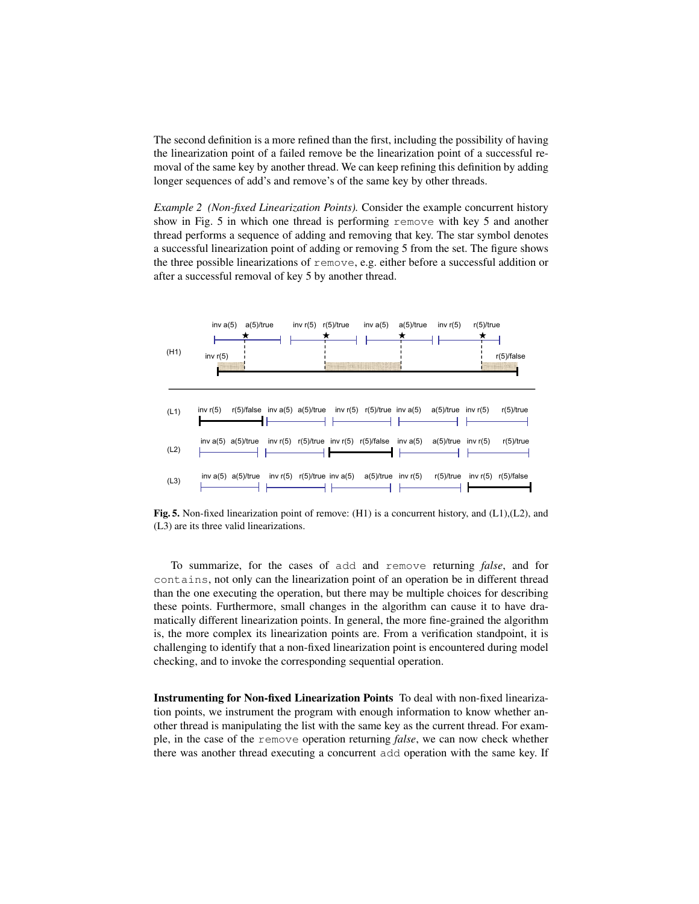The second definition is a more refined than the first, including the possibility of having the linearization point of a failed remove be the linearization point of a successful removal of the same key by another thread. We can keep refining this definition by adding longer sequences of add's and remove's of the same key by other threads.

*Example 2 (Non-fixed Linearization Points).* Consider the example concurrent history show in Fig. 5 in which one thread is performing remove with key 5 and another thread performs a sequence of adding and removing that key. The star symbol denotes a successful linearization point of adding or removing 5 from the set. The figure shows the three possible linearizations of remove, e.g. either before a successful addition or after a successful removal of key 5 by another thread.



Fig. 5. Non-fixed linearization point of remove: (H1) is a concurrent history, and (L1),(L2), and (L3) are its three valid linearizations.

To summarize, for the cases of add and remove returning *false*, and for contains, not only can the linearization point of an operation be in different thread than the one executing the operation, but there may be multiple choices for describing these points. Furthermore, small changes in the algorithm can cause it to have dramatically different linearization points. In general, the more fine-grained the algorithm is, the more complex its linearization points are. From a verification standpoint, it is challenging to identify that a non-fixed linearization point is encountered during model checking, and to invoke the corresponding sequential operation.

Instrumenting for Non-fixed Linearization Points To deal with non-fixed linearization points, we instrument the program with enough information to know whether another thread is manipulating the list with the same key as the current thread. For example, in the case of the remove operation returning *false*, we can now check whether there was another thread executing a concurrent add operation with the same key. If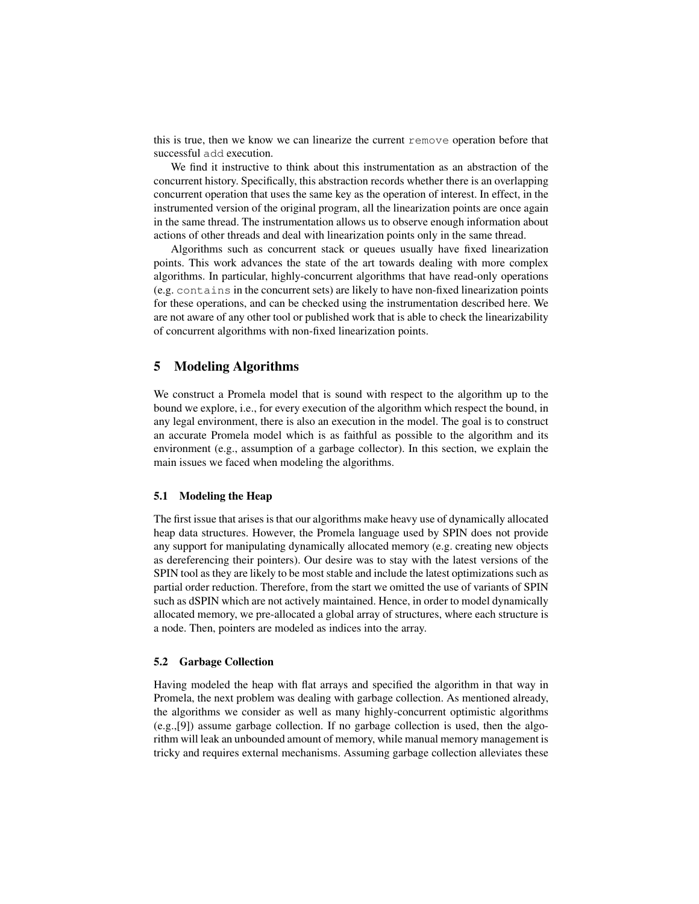this is true, then we know we can linearize the current remove operation before that successful add execution.

We find it instructive to think about this instrumentation as an abstraction of the concurrent history. Specifically, this abstraction records whether there is an overlapping concurrent operation that uses the same key as the operation of interest. In effect, in the instrumented version of the original program, all the linearization points are once again in the same thread. The instrumentation allows us to observe enough information about actions of other threads and deal with linearization points only in the same thread.

Algorithms such as concurrent stack or queues usually have fixed linearization points. This work advances the state of the art towards dealing with more complex algorithms. In particular, highly-concurrent algorithms that have read-only operations (e.g. contains in the concurrent sets) are likely to have non-fixed linearization points for these operations, and can be checked using the instrumentation described here. We are not aware of any other tool or published work that is able to check the linearizability of concurrent algorithms with non-fixed linearization points.

# 5 Modeling Algorithms

We construct a Promela model that is sound with respect to the algorithm up to the bound we explore, i.e., for every execution of the algorithm which respect the bound, in any legal environment, there is also an execution in the model. The goal is to construct an accurate Promela model which is as faithful as possible to the algorithm and its environment (e.g., assumption of a garbage collector). In this section, we explain the main issues we faced when modeling the algorithms.

### 5.1 Modeling the Heap

The first issue that arises is that our algorithms make heavy use of dynamically allocated heap data structures. However, the Promela language used by SPIN does not provide any support for manipulating dynamically allocated memory (e.g. creating new objects as dereferencing their pointers). Our desire was to stay with the latest versions of the SPIN tool as they are likely to be most stable and include the latest optimizations such as partial order reduction. Therefore, from the start we omitted the use of variants of SPIN such as dSPIN which are not actively maintained. Hence, in order to model dynamically allocated memory, we pre-allocated a global array of structures, where each structure is a node. Then, pointers are modeled as indices into the array.

### 5.2 Garbage Collection

Having modeled the heap with flat arrays and specified the algorithm in that way in Promela, the next problem was dealing with garbage collection. As mentioned already, the algorithms we consider as well as many highly-concurrent optimistic algorithms (e.g.,[9]) assume garbage collection. If no garbage collection is used, then the algorithm will leak an unbounded amount of memory, while manual memory management is tricky and requires external mechanisms. Assuming garbage collection alleviates these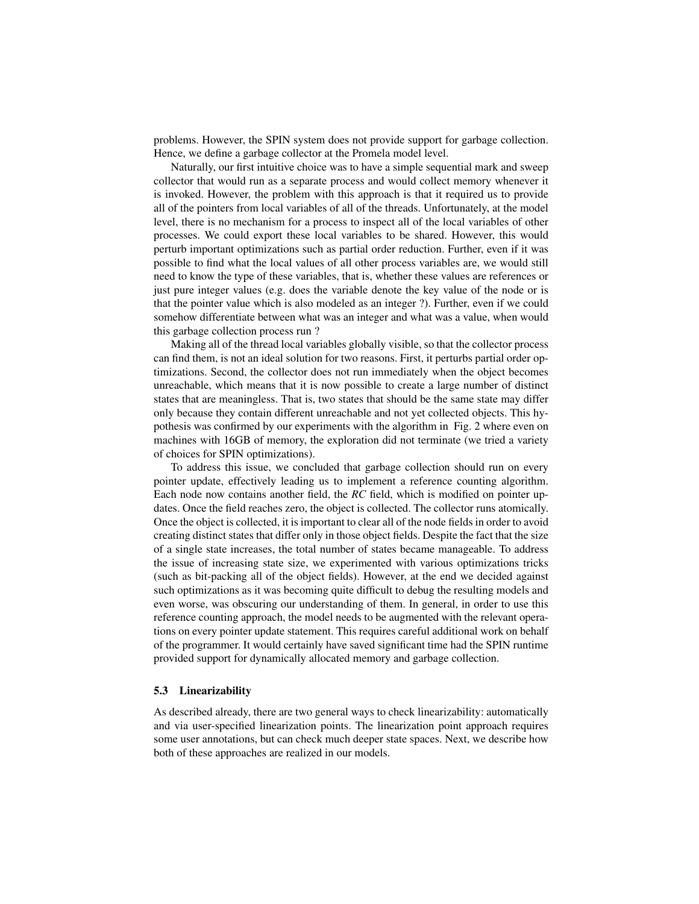problems. However, the SPIN system does not provide support for garbage collection. Hence, we define a garbage collector at the Promela model level.

Naturally, our first intuitive choice was to have a simple sequential mark and sweep collector that would run as a separate process and would collect memory whenever it is invoked. However, the problem with this approach is that it required us to provide all of the pointers from local variables of all of the threads. Unfortunately, at the model level, there is no mechanism for a process to inspect all of the local variables of other processes. We could export these local variables to be shared. However, this would perturb important optimizations such as partial order reduction. Further, even if it was possible to find what the local values of all other process variables are, we would still need to know the type of these variables, that is, whether these values are references or just pure integer values (e.g. does the variable denote the key value of the node or is that the pointer value which is also modeled as an integer ?). Further, even if we could somehow differentiate between what was an integer and what was a value, when would this garbage collection process run ?

Making all of the thread local variables globally visible, so that the collector process can find them, is not an ideal solution for two reasons. First, it perturbs partial order optimizations. Second, the collector does not run immediately when the object becomes unreachable, which means that it is now possible to create a large number of distinct states that are meaningless. That is, two states that should be the same state may differ only because they contain different unreachable and not yet collected objects. This hypothesis was confirmed by our experiments with the algorithm in Fig. 2 where even on machines with 16GB of memory, the exploration did not terminate (we tried a variety of choices for SPIN optimizations).

To address this issue, we concluded that garbage collection should run on every pointer update, effectively leading us to implement a reference counting algorithm. Each node now contains another field, the *RC* field, which is modified on pointer updates. Once the field reaches zero, the object is collected. The collector runs atomically. Once the object is collected, it is important to clear all of the node fields in order to avoid creating distinct states that differ only in those object fields. Despite the fact that the size of a single state increases, the total number of states became manageable. To address the issue of increasing state size, we experimented with various optimizations tricks (such as bit-packing all of the object fields). However, at the end we decided against such optimizations as it was becoming quite difficult to debug the resulting models and even worse, was obscuring our understanding of them. In general, in order to use this reference counting approach, the model needs to be augmented with the relevant operations on every pointer update statement. This requires careful additional work on behalf of the programmer. It would certainly have saved significant time had the SPIN runtime provided support for dynamically allocated memory and garbage collection.

### 5.3 Linearizability

As described already, there are two general ways to check linearizability: automatically and via user-specified linearization points. The linearization point approach requires some user annotations, but can check much deeper state spaces. Next, we describe how both of these approaches are realized in our models.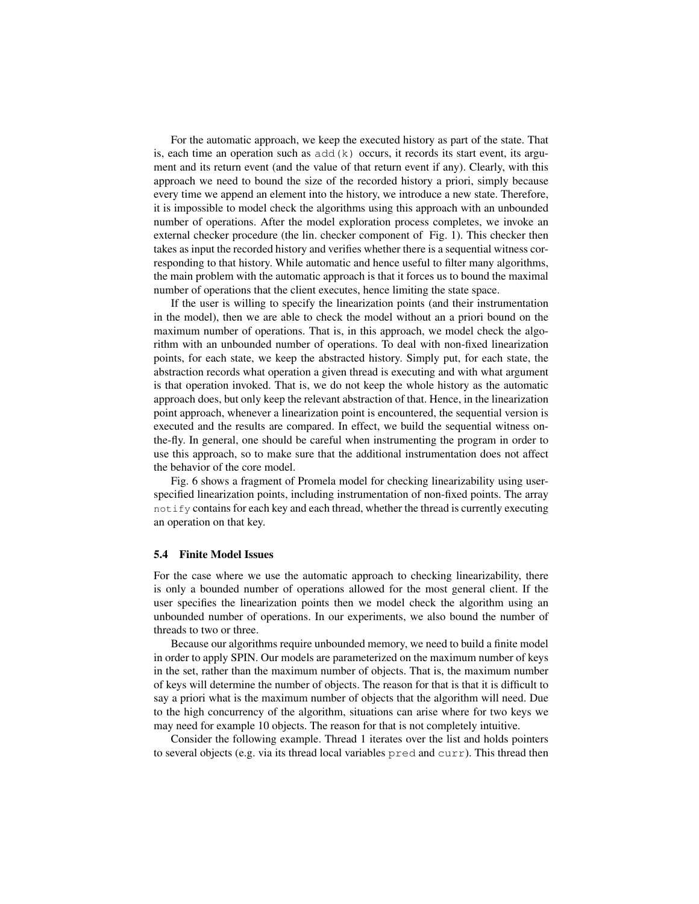For the automatic approach, we keep the executed history as part of the state. That is, each time an operation such as  $add(k)$  occurs, it records its start event, its argument and its return event (and the value of that return event if any). Clearly, with this approach we need to bound the size of the recorded history a priori, simply because every time we append an element into the history, we introduce a new state. Therefore, it is impossible to model check the algorithms using this approach with an unbounded number of operations. After the model exploration process completes, we invoke an external checker procedure (the lin. checker component of Fig. 1). This checker then takes as input the recorded history and verifies whether there is a sequential witness corresponding to that history. While automatic and hence useful to filter many algorithms, the main problem with the automatic approach is that it forces us to bound the maximal number of operations that the client executes, hence limiting the state space.

If the user is willing to specify the linearization points (and their instrumentation in the model), then we are able to check the model without an a priori bound on the maximum number of operations. That is, in this approach, we model check the algorithm with an unbounded number of operations. To deal with non-fixed linearization points, for each state, we keep the abstracted history. Simply put, for each state, the abstraction records what operation a given thread is executing and with what argument is that operation invoked. That is, we do not keep the whole history as the automatic approach does, but only keep the relevant abstraction of that. Hence, in the linearization point approach, whenever a linearization point is encountered, the sequential version is executed and the results are compared. In effect, we build the sequential witness onthe-fly. In general, one should be careful when instrumenting the program in order to use this approach, so to make sure that the additional instrumentation does not affect the behavior of the core model.

Fig. 6 shows a fragment of Promela model for checking linearizability using userspecified linearization points, including instrumentation of non-fixed points. The array notify contains for each key and each thread, whether the thread is currently executing an operation on that key.

### 5.4 Finite Model Issues

For the case where we use the automatic approach to checking linearizability, there is only a bounded number of operations allowed for the most general client. If the user specifies the linearization points then we model check the algorithm using an unbounded number of operations. In our experiments, we also bound the number of threads to two or three.

Because our algorithms require unbounded memory, we need to build a finite model in order to apply SPIN. Our models are parameterized on the maximum number of keys in the set, rather than the maximum number of objects. That is, the maximum number of keys will determine the number of objects. The reason for that is that it is difficult to say a priori what is the maximum number of objects that the algorithm will need. Due to the high concurrency of the algorithm, situations can arise where for two keys we may need for example 10 objects. The reason for that is not completely intuitive.

Consider the following example. Thread 1 iterates over the list and holds pointers to several objects (e.g. via its thread local variables  $pred$  and  $curr$ ). This thread then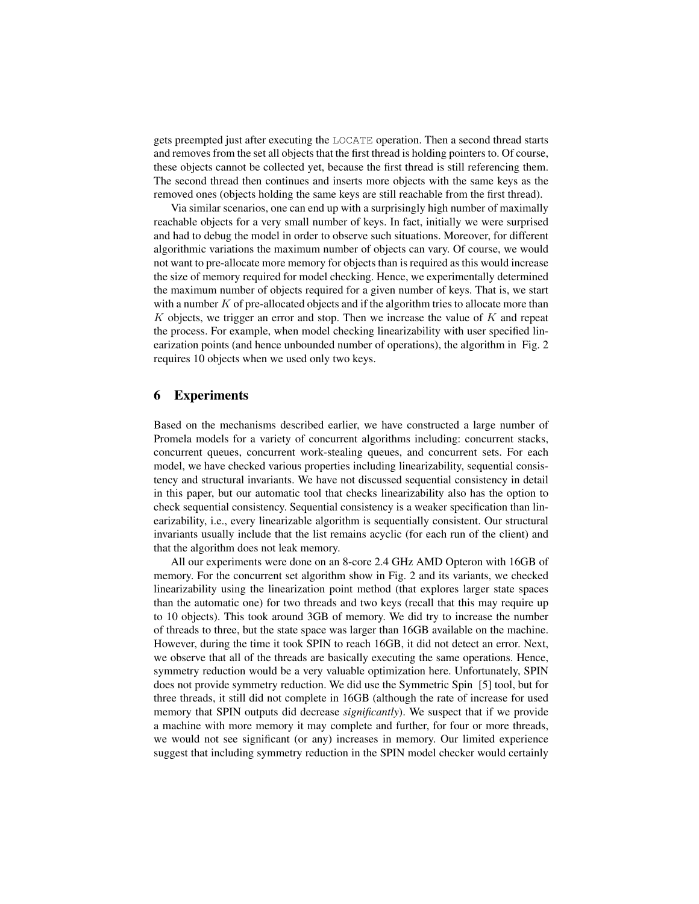gets preempted just after executing the LOCATE operation. Then a second thread starts and removes from the set all objects that the first thread is holding pointers to. Of course, these objects cannot be collected yet, because the first thread is still referencing them. The second thread then continues and inserts more objects with the same keys as the removed ones (objects holding the same keys are still reachable from the first thread).

Via similar scenarios, one can end up with a surprisingly high number of maximally reachable objects for a very small number of keys. In fact, initially we were surprised and had to debug the model in order to observe such situations. Moreover, for different algorithmic variations the maximum number of objects can vary. Of course, we would not want to pre-allocate more memory for objects than is required as this would increase the size of memory required for model checking. Hence, we experimentally determined the maximum number of objects required for a given number of keys. That is, we start with a number  $K$  of pre-allocated objects and if the algorithm tries to allocate more than  $K$  objects, we trigger an error and stop. Then we increase the value of  $K$  and repeat the process. For example, when model checking linearizability with user specified linearization points (and hence unbounded number of operations), the algorithm in Fig. 2 requires 10 objects when we used only two keys.

# 6 Experiments

Based on the mechanisms described earlier, we have constructed a large number of Promela models for a variety of concurrent algorithms including: concurrent stacks, concurrent queues, concurrent work-stealing queues, and concurrent sets. For each model, we have checked various properties including linearizability, sequential consistency and structural invariants. We have not discussed sequential consistency in detail in this paper, but our automatic tool that checks linearizability also has the option to check sequential consistency. Sequential consistency is a weaker specification than linearizability, i.e., every linearizable algorithm is sequentially consistent. Our structural invariants usually include that the list remains acyclic (for each run of the client) and that the algorithm does not leak memory.

All our experiments were done on an 8-core 2.4 GHz AMD Opteron with 16GB of memory. For the concurrent set algorithm show in Fig. 2 and its variants, we checked linearizability using the linearization point method (that explores larger state spaces than the automatic one) for two threads and two keys (recall that this may require up to 10 objects). This took around 3GB of memory. We did try to increase the number of threads to three, but the state space was larger than 16GB available on the machine. However, during the time it took SPIN to reach 16GB, it did not detect an error. Next, we observe that all of the threads are basically executing the same operations. Hence, symmetry reduction would be a very valuable optimization here. Unfortunately, SPIN does not provide symmetry reduction. We did use the Symmetric Spin [5] tool, but for three threads, it still did not complete in 16GB (although the rate of increase for used memory that SPIN outputs did decrease *significantly*). We suspect that if we provide a machine with more memory it may complete and further, for four or more threads, we would not see significant (or any) increases in memory. Our limited experience suggest that including symmetry reduction in the SPIN model checker would certainly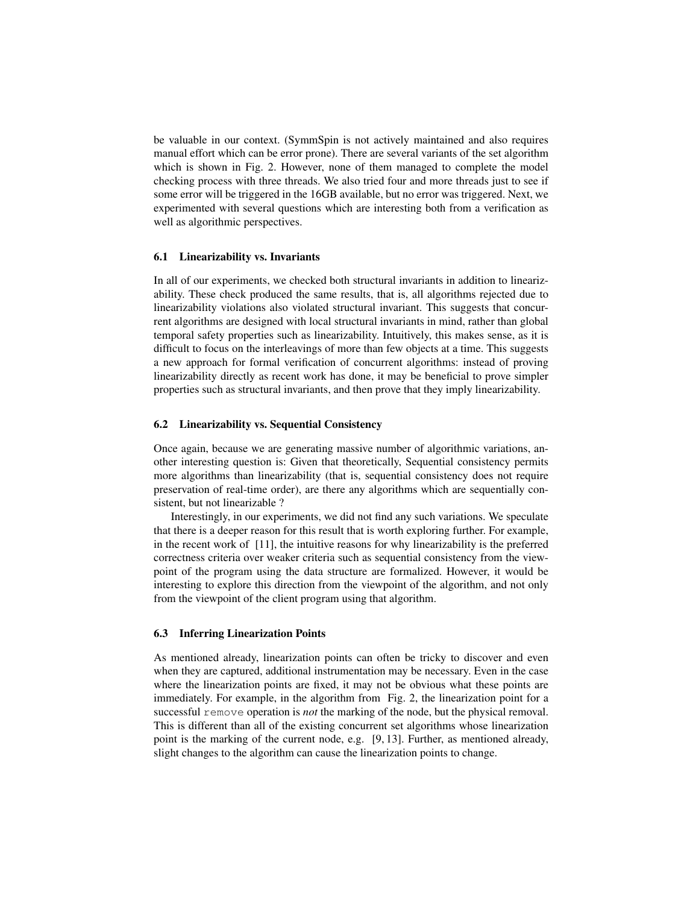be valuable in our context. (SymmSpin is not actively maintained and also requires manual effort which can be error prone). There are several variants of the set algorithm which is shown in Fig. 2. However, none of them managed to complete the model checking process with three threads. We also tried four and more threads just to see if some error will be triggered in the 16GB available, but no error was triggered. Next, we experimented with several questions which are interesting both from a verification as well as algorithmic perspectives.

### 6.1 Linearizability vs. Invariants

In all of our experiments, we checked both structural invariants in addition to linearizability. These check produced the same results, that is, all algorithms rejected due to linearizability violations also violated structural invariant. This suggests that concurrent algorithms are designed with local structural invariants in mind, rather than global temporal safety properties such as linearizability. Intuitively, this makes sense, as it is difficult to focus on the interleavings of more than few objects at a time. This suggests a new approach for formal verification of concurrent algorithms: instead of proving linearizability directly as recent work has done, it may be beneficial to prove simpler properties such as structural invariants, and then prove that they imply linearizability.

#### 6.2 Linearizability vs. Sequential Consistency

Once again, because we are generating massive number of algorithmic variations, another interesting question is: Given that theoretically, Sequential consistency permits more algorithms than linearizability (that is, sequential consistency does not require preservation of real-time order), are there any algorithms which are sequentially consistent, but not linearizable ?

Interestingly, in our experiments, we did not find any such variations. We speculate that there is a deeper reason for this result that is worth exploring further. For example, in the recent work of [11], the intuitive reasons for why linearizability is the preferred correctness criteria over weaker criteria such as sequential consistency from the viewpoint of the program using the data structure are formalized. However, it would be interesting to explore this direction from the viewpoint of the algorithm, and not only from the viewpoint of the client program using that algorithm.

### 6.3 Inferring Linearization Points

As mentioned already, linearization points can often be tricky to discover and even when they are captured, additional instrumentation may be necessary. Even in the case where the linearization points are fixed, it may not be obvious what these points are immediately. For example, in the algorithm from Fig. 2, the linearization point for a successful remove operation is *not* the marking of the node, but the physical removal. This is different than all of the existing concurrent set algorithms whose linearization point is the marking of the current node, e.g. [9, 13]. Further, as mentioned already, slight changes to the algorithm can cause the linearization points to change.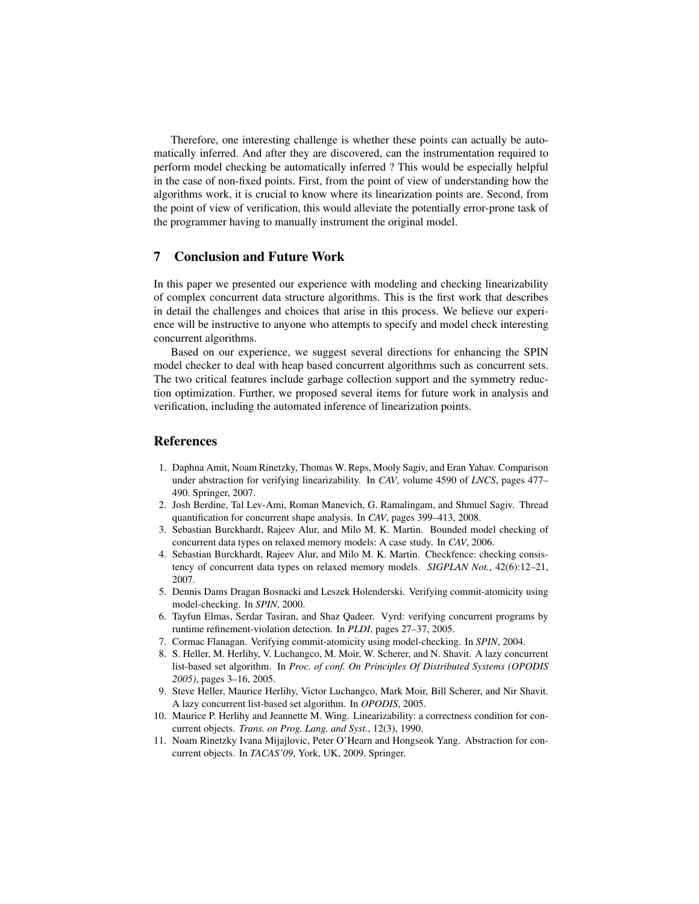Therefore, one interesting challenge is whether these points can actually be automatically inferred. And after they are discovered, can the instrumentation required to perform model checking be automatically inferred ? This would be especially helpful in the case of non-fixed points. First, from the point of view of understanding how the algorithms work, it is crucial to know where its linearization points are. Second, from the point of view of verification, this would alleviate the potentially error-prone task of the programmer having to manually instrument the original model.

# 7 Conclusion and Future Work

In this paper we presented our experience with modeling and checking linearizability of complex concurrent data structure algorithms. This is the first work that describes in detail the challenges and choices that arise in this process. We believe our experience will be instructive to anyone who attempts to specify and model check interesting concurrent algorithms.

Based on our experience, we suggest several directions for enhancing the SPIN model checker to deal with heap based concurrent algorithms such as concurrent sets. The two critical features include garbage collection support and the symmetry reduction optimization. Further, we proposed several items for future work in analysis and verification, including the automated inference of linearization points.

# References

- 1. Daphna Amit, Noam Rinetzky, Thomas W. Reps, Mooly Sagiv, and Eran Yahav. Comparison under abstraction for verifying linearizability. In *CAV*, volume 4590 of *LNCS*, pages 477– 490. Springer, 2007.
- 2. Josh Berdine, Tal Lev-Ami, Roman Manevich, G. Ramalingam, and Shmuel Sagiv. Thread quantification for concurrent shape analysis. In *CAV*, pages 399–413, 2008.
- 3. Sebastian Burckhardt, Rajeev Alur, and Milo M. K. Martin. Bounded model checking of concurrent data types on relaxed memory models: A case study. In *CAV*, 2006.
- 4. Sebastian Burckhardt, Rajeev Alur, and Milo M. K. Martin. Checkfence: checking consistency of concurrent data types on relaxed memory models. *SIGPLAN Not.*, 42(6):12–21, 2007.
- 5. Dennis Dams Dragan Bosnacki and Leszek Holenderski. Verifying commit-atomicity using model-checking. In *SPIN*, 2000.
- 6. Tayfun Elmas, Serdar Tasiran, and Shaz Qadeer. Vyrd: verifying concurrent programs by runtime refinement-violation detection. In *PLDI*, pages 27–37, 2005.
- 7. Cormac Flanagan. Verifying commit-atomicity using model-checking. In *SPIN*, 2004.
- 8. S. Heller, M. Herlihy, V. Luchangco, M. Moir, W. Scherer, and N. Shavit. A lazy concurrent list-based set algorithm. In *Proc. of conf. On Principles Of Distributed Systems (OPODIS 2005)*, pages 3–16, 2005.
- 9. Steve Heller, Maurice Herlihy, Victor Luchangco, Mark Moir, Bill Scherer, and Nir Shavit. A lazy concurrent list-based set algorithm. In *OPODIS*, 2005.
- 10. Maurice P. Herlihy and Jeannette M. Wing. Linearizability: a correctness condition for concurrent objects. *Trans. on Prog. Lang. and Syst.*, 12(3), 1990.
- 11. Noam Rinetzky Ivana Mijajlovic, Peter O'Hearn and Hongseok Yang. Abstraction for concurrent objects. In *TACAS'09*, York, UK, 2009. Springer.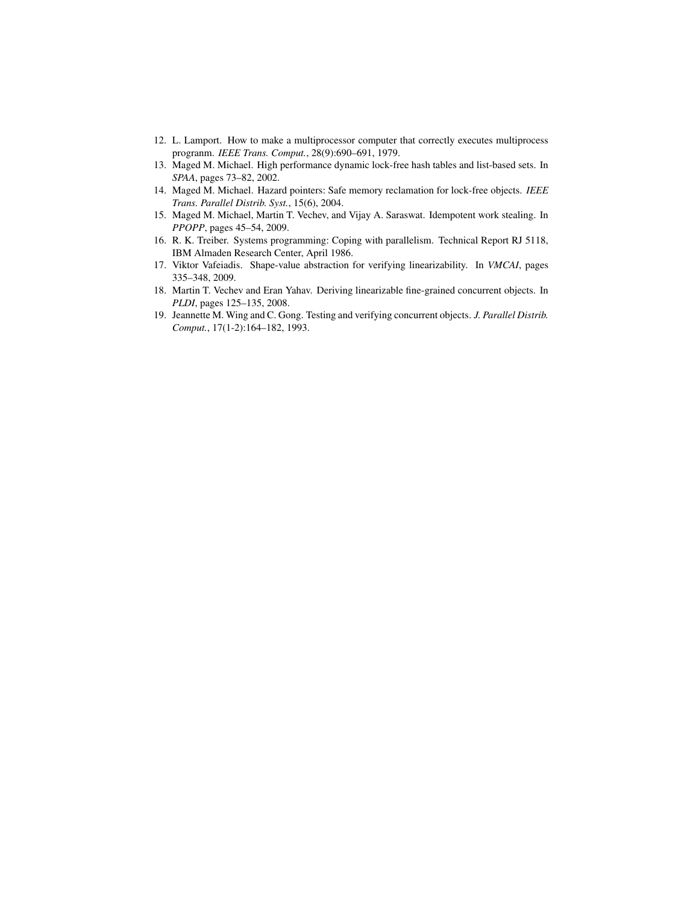- 12. L. Lamport. How to make a multiprocessor computer that correctly executes multiprocess progranm. *IEEE Trans. Comput.*, 28(9):690–691, 1979.
- 13. Maged M. Michael. High performance dynamic lock-free hash tables and list-based sets. In *SPAA*, pages 73–82, 2002.
- 14. Maged M. Michael. Hazard pointers: Safe memory reclamation for lock-free objects. *IEEE Trans. Parallel Distrib. Syst.*, 15(6), 2004.
- 15. Maged M. Michael, Martin T. Vechev, and Vijay A. Saraswat. Idempotent work stealing. In *PPOPP*, pages 45–54, 2009.
- 16. R. K. Treiber. Systems programming: Coping with parallelism. Technical Report RJ 5118, IBM Almaden Research Center, April 1986.
- 17. Viktor Vafeiadis. Shape-value abstraction for verifying linearizability. In *VMCAI*, pages 335–348, 2009.
- 18. Martin T. Vechev and Eran Yahav. Deriving linearizable fine-grained concurrent objects. In *PLDI*, pages 125–135, 2008.
- 19. Jeannette M. Wing and C. Gong. Testing and verifying concurrent objects. *J. Parallel Distrib. Comput.*, 17(1-2):164–182, 1993.